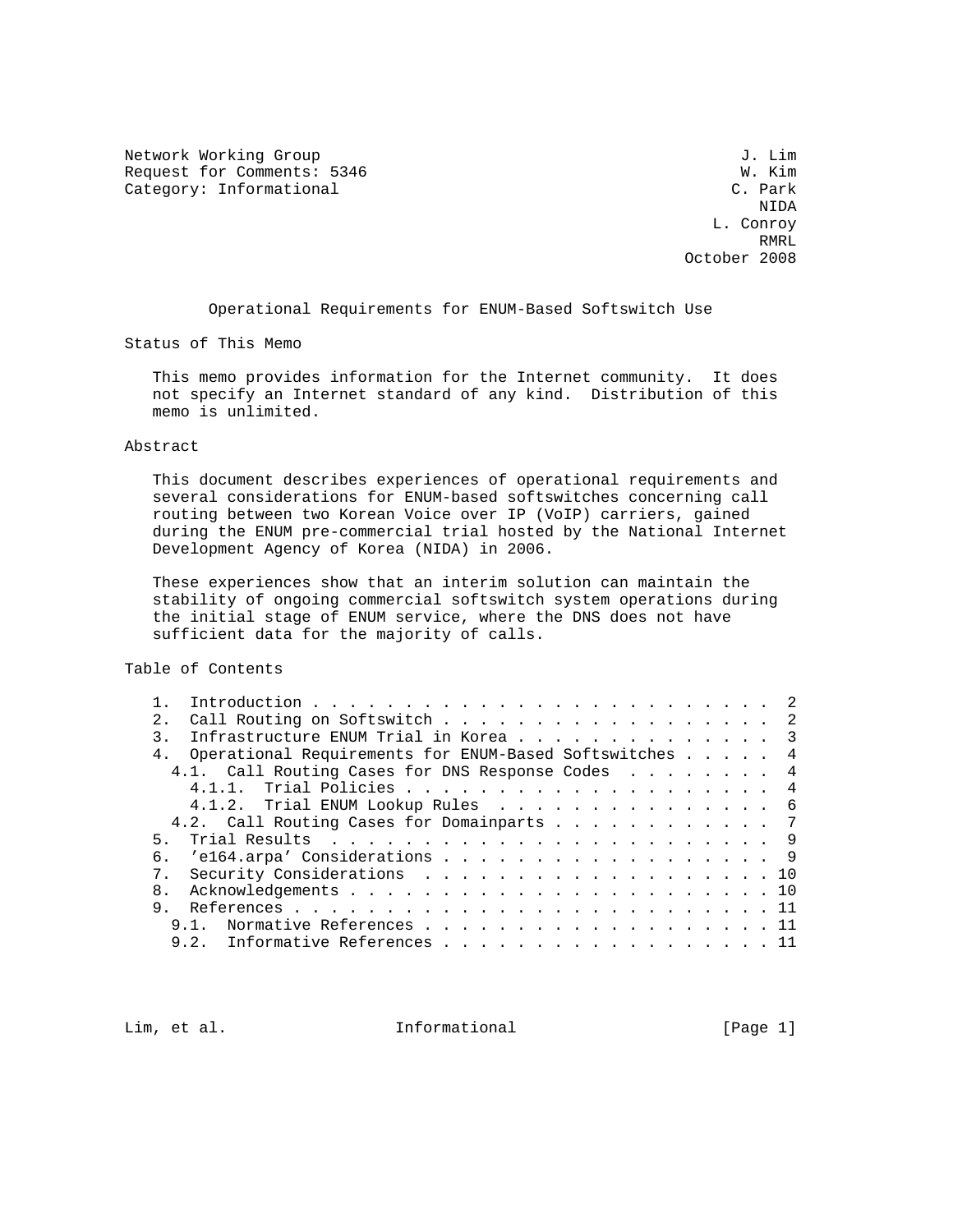Network Working Group J. Lim Request for Comments: 5346 W. Kim W. Kim 2016 W. Kim 2016 Category: Informational

 NIDA L. Conroy RMRL **RMRL** October 2008

Operational Requirements for ENUM-Based Softswitch Use

Status of This Memo

 This memo provides information for the Internet community. It does not specify an Internet standard of any kind. Distribution of this memo is unlimited.

### Abstract

 This document describes experiences of operational requirements and several considerations for ENUM-based softswitches concerning call routing between two Korean Voice over IP (VoIP) carriers, gained during the ENUM pre-commercial trial hosted by the National Internet Development Agency of Korea (NIDA) in 2006.

 These experiences show that an interim solution can maintain the stability of ongoing commercial softswitch system operations during the initial stage of ENUM service, where the DNS does not have sufficient data for the majority of calls.

Table of Contents

| 2.1            | Call Routing on Softswitch 2                           |
|----------------|--------------------------------------------------------|
|                | Infrastructure ENUM Trial in Korea 3                   |
| 4 <sub>1</sub> | Operational Requirements for ENUM-Based Softswitches 4 |
|                | 4.1. Call Routing Cases for DNS Response Codes 4       |
|                |                                                        |
|                | 4.1.2. Trial ENUM Lookup Rules 6                       |
|                | 4.2. Call Routing Cases for Domainparts 7              |
| 5 <sub>1</sub> |                                                        |
|                | 6. 'el64.arpa' Considerations 9                        |
|                | Security Considerations 10                             |
| 8.             |                                                        |
| 9.             |                                                        |
|                | Normative References 11<br>9.1                         |
|                | 9.2. Informative References 11                         |
|                |                                                        |

Lim, et al.  $\qquad \qquad$  Informational  $[Page 1]$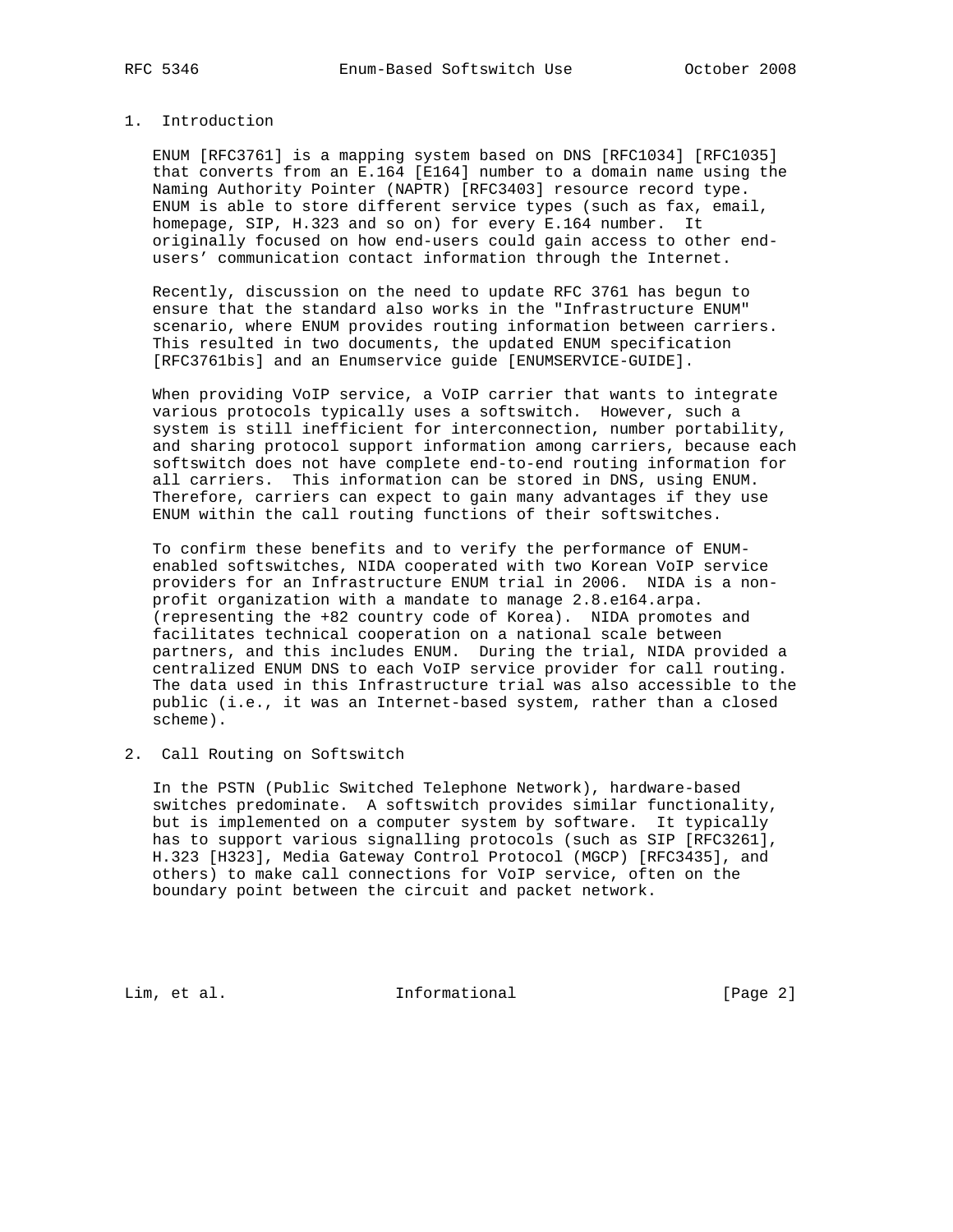## 1. Introduction

 ENUM [RFC3761] is a mapping system based on DNS [RFC1034] [RFC1035] that converts from an E.164 [E164] number to a domain name using the Naming Authority Pointer (NAPTR) [RFC3403] resource record type. ENUM is able to store different service types (such as fax, email, homepage, SIP, H.323 and so on) for every E.164 number. It originally focused on how end-users could gain access to other end users' communication contact information through the Internet.

 Recently, discussion on the need to update RFC 3761 has begun to ensure that the standard also works in the "Infrastructure ENUM" scenario, where ENUM provides routing information between carriers. This resulted in two documents, the updated ENUM specification [RFC3761bis] and an Enumservice guide [ENUMSERVICE-GUIDE].

 When providing VoIP service, a VoIP carrier that wants to integrate various protocols typically uses a softswitch. However, such a system is still inefficient for interconnection, number portability, and sharing protocol support information among carriers, because each softswitch does not have complete end-to-end routing information for all carriers. This information can be stored in DNS, using ENUM. Therefore, carriers can expect to gain many advantages if they use ENUM within the call routing functions of their softswitches.

 To confirm these benefits and to verify the performance of ENUM enabled softswitches, NIDA cooperated with two Korean VoIP service providers for an Infrastructure ENUM trial in 2006. NIDA is a non profit organization with a mandate to manage 2.8.e164.arpa. (representing the +82 country code of Korea). NIDA promotes and facilitates technical cooperation on a national scale between partners, and this includes ENUM. During the trial, NIDA provided a centralized ENUM DNS to each VoIP service provider for call routing. The data used in this Infrastructure trial was also accessible to the public (i.e., it was an Internet-based system, rather than a closed scheme).

2. Call Routing on Softswitch

 In the PSTN (Public Switched Telephone Network), hardware-based switches predominate. A softswitch provides similar functionality, but is implemented on a computer system by software. It typically has to support various signalling protocols (such as SIP [RFC3261], H.323 [H323], Media Gateway Control Protocol (MGCP) [RFC3435], and others) to make call connections for VoIP service, often on the boundary point between the circuit and packet network.

Lim, et al. 10. Informational 1. [Page 2]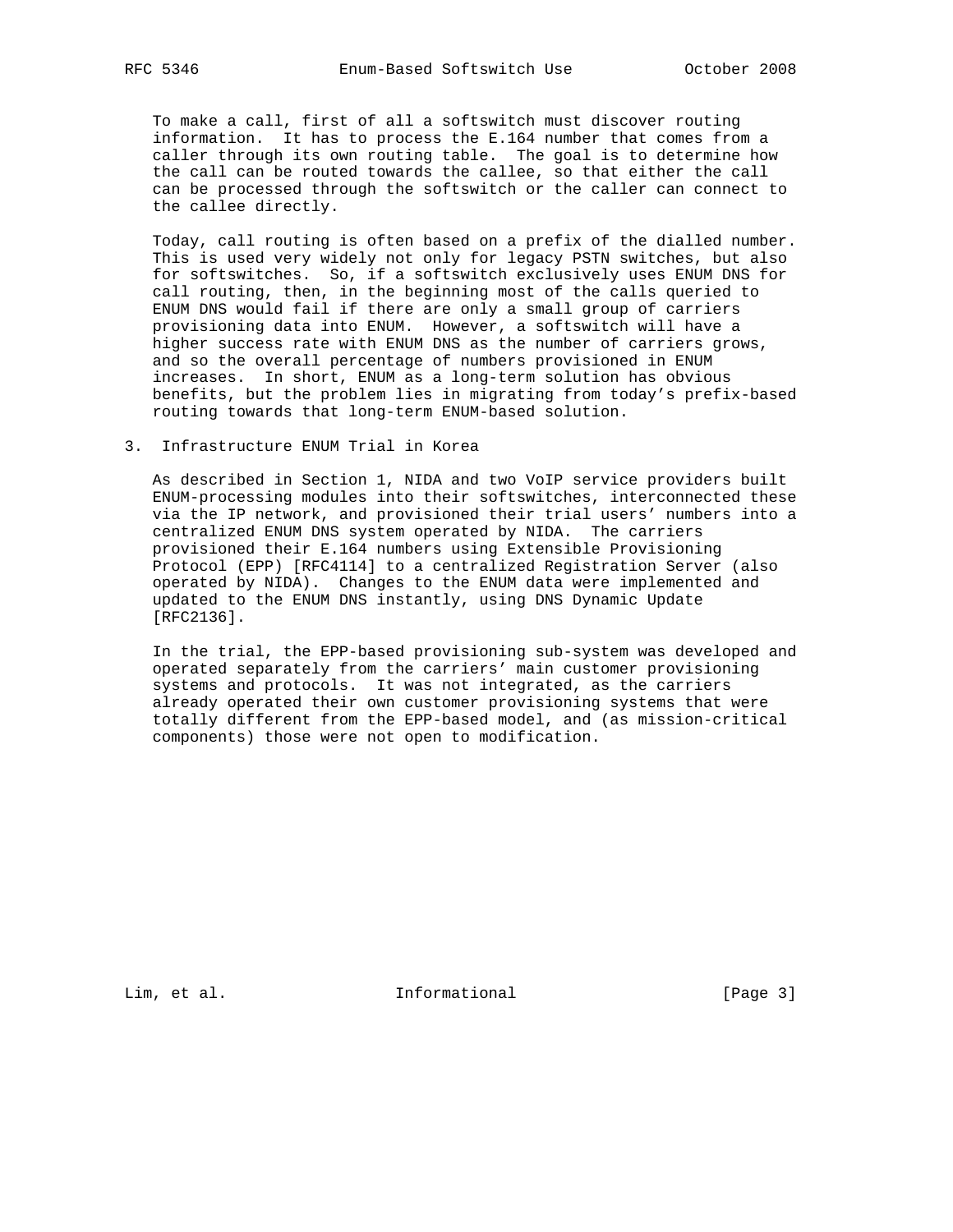To make a call, first of all a softswitch must discover routing information. It has to process the E.164 number that comes from a caller through its own routing table. The goal is to determine how the call can be routed towards the callee, so that either the call can be processed through the softswitch or the caller can connect to the callee directly.

 Today, call routing is often based on a prefix of the dialled number. This is used very widely not only for legacy PSTN switches, but also for softswitches. So, if a softswitch exclusively uses ENUM DNS for call routing, then, in the beginning most of the calls queried to ENUM DNS would fail if there are only a small group of carriers provisioning data into ENUM. However, a softswitch will have a higher success rate with ENUM DNS as the number of carriers grows, and so the overall percentage of numbers provisioned in ENUM increases. In short, ENUM as a long-term solution has obvious benefits, but the problem lies in migrating from today's prefix-based routing towards that long-term ENUM-based solution.

#### 3. Infrastructure ENUM Trial in Korea

 As described in Section 1, NIDA and two VoIP service providers built ENUM-processing modules into their softswitches, interconnected these via the IP network, and provisioned their trial users' numbers into a centralized ENUM DNS system operated by NIDA. The carriers provisioned their E.164 numbers using Extensible Provisioning Protocol (EPP) [RFC4114] to a centralized Registration Server (also operated by NIDA). Changes to the ENUM data were implemented and updated to the ENUM DNS instantly, using DNS Dynamic Update [RFC2136].

 In the trial, the EPP-based provisioning sub-system was developed and operated separately from the carriers' main customer provisioning systems and protocols. It was not integrated, as the carriers already operated their own customer provisioning systems that were totally different from the EPP-based model, and (as mission-critical components) those were not open to modification.

Lim, et al. 10. Informational 1. [Page 3]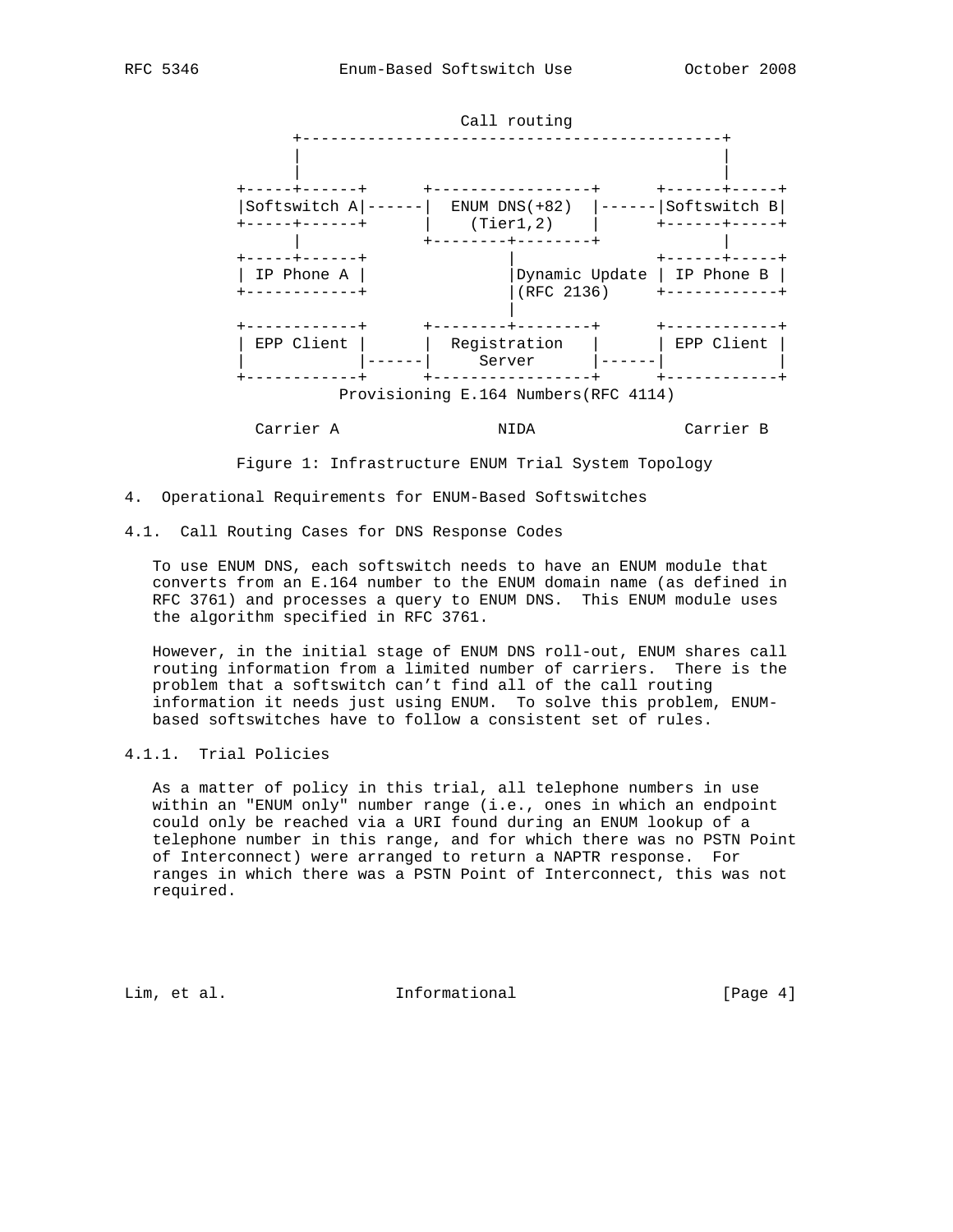

Figure 1: Infrastructure ENUM Trial System Topology

- 4. Operational Requirements for ENUM-Based Softswitches
- 4.1. Call Routing Cases for DNS Response Codes

 To use ENUM DNS, each softswitch needs to have an ENUM module that converts from an E.164 number to the ENUM domain name (as defined in RFC 3761) and processes a query to ENUM DNS. This ENUM module uses the algorithm specified in RFC 3761.

 However, in the initial stage of ENUM DNS roll-out, ENUM shares call routing information from a limited number of carriers. There is the problem that a softswitch can't find all of the call routing information it needs just using ENUM. To solve this problem, ENUM based softswitches have to follow a consistent set of rules.

# 4.1.1. Trial Policies

 As a matter of policy in this trial, all telephone numbers in use within an "ENUM only" number range (i.e., ones in which an endpoint could only be reached via a URI found during an ENUM lookup of a telephone number in this range, and for which there was no PSTN Point of Interconnect) were arranged to return a NAPTR response. For ranges in which there was a PSTN Point of Interconnect, this was not required.

Lim, et al. 10. Informational 1. [Page 4]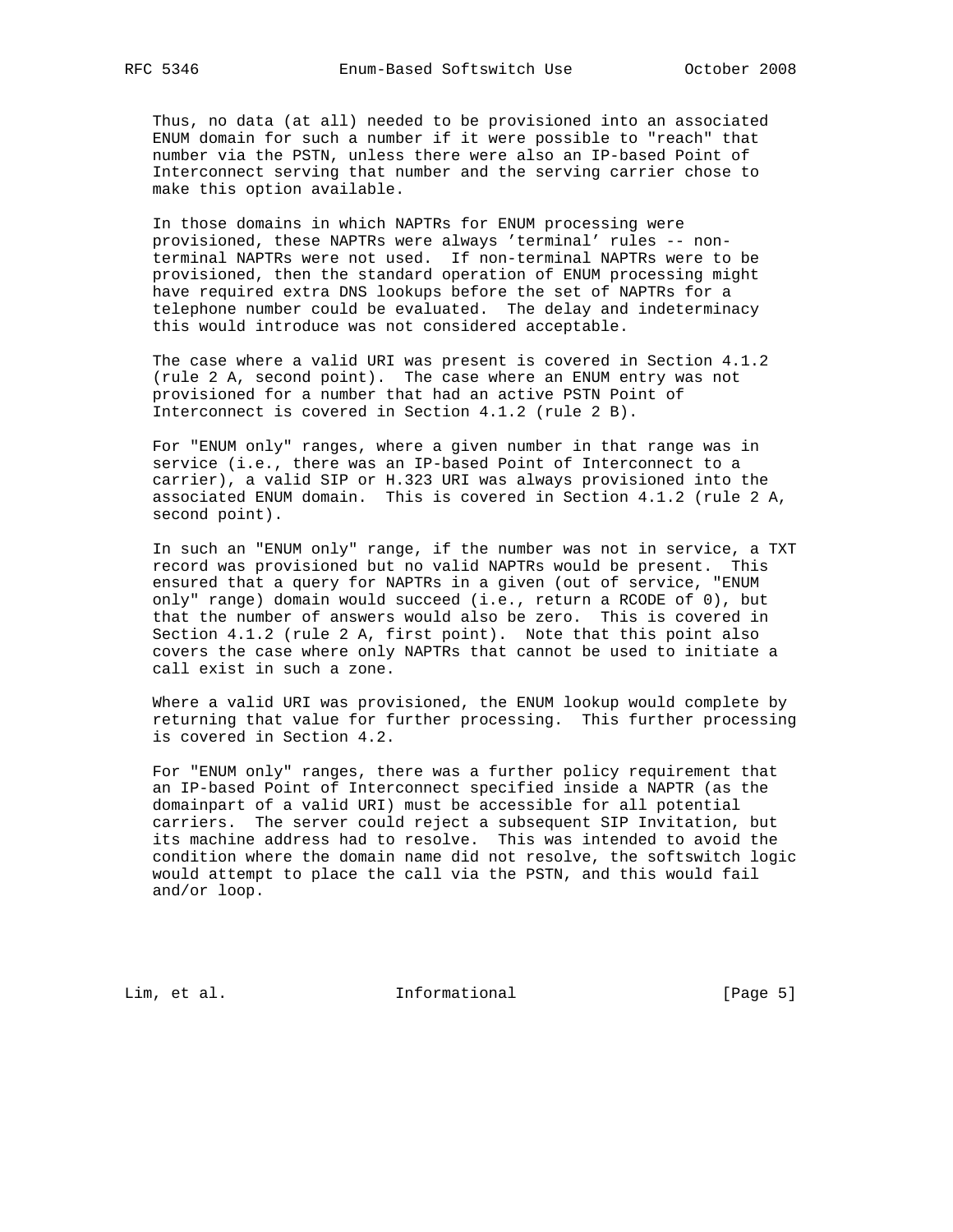Thus, no data (at all) needed to be provisioned into an associated ENUM domain for such a number if it were possible to "reach" that number via the PSTN, unless there were also an IP-based Point of Interconnect serving that number and the serving carrier chose to make this option available.

 In those domains in which NAPTRs for ENUM processing were provisioned, these NAPTRs were always 'terminal' rules -- non terminal NAPTRs were not used. If non-terminal NAPTRs were to be provisioned, then the standard operation of ENUM processing might have required extra DNS lookups before the set of NAPTRs for a telephone number could be evaluated. The delay and indeterminacy this would introduce was not considered acceptable.

 The case where a valid URI was present is covered in Section 4.1.2 (rule 2 A, second point). The case where an ENUM entry was not provisioned for a number that had an active PSTN Point of Interconnect is covered in Section 4.1.2 (rule 2 B).

 For "ENUM only" ranges, where a given number in that range was in service (i.e., there was an IP-based Point of Interconnect to a carrier), a valid SIP or H.323 URI was always provisioned into the associated ENUM domain. This is covered in Section 4.1.2 (rule 2 A, second point).

 In such an "ENUM only" range, if the number was not in service, a TXT record was provisioned but no valid NAPTRs would be present. This ensured that a query for NAPTRs in a given (out of service, "ENUM only" range) domain would succeed (i.e., return a RCODE of 0), but that the number of answers would also be zero. This is covered in Section 4.1.2 (rule 2 A, first point). Note that this point also covers the case where only NAPTRs that cannot be used to initiate a call exist in such a zone.

 Where a valid URI was provisioned, the ENUM lookup would complete by returning that value for further processing. This further processing is covered in Section 4.2.

 For "ENUM only" ranges, there was a further policy requirement that an IP-based Point of Interconnect specified inside a NAPTR (as the domainpart of a valid URI) must be accessible for all potential carriers. The server could reject a subsequent SIP Invitation, but its machine address had to resolve. This was intended to avoid the condition where the domain name did not resolve, the softswitch logic would attempt to place the call via the PSTN, and this would fail and/or loop.

Lim, et al. 10. Informational 1. [Page 5]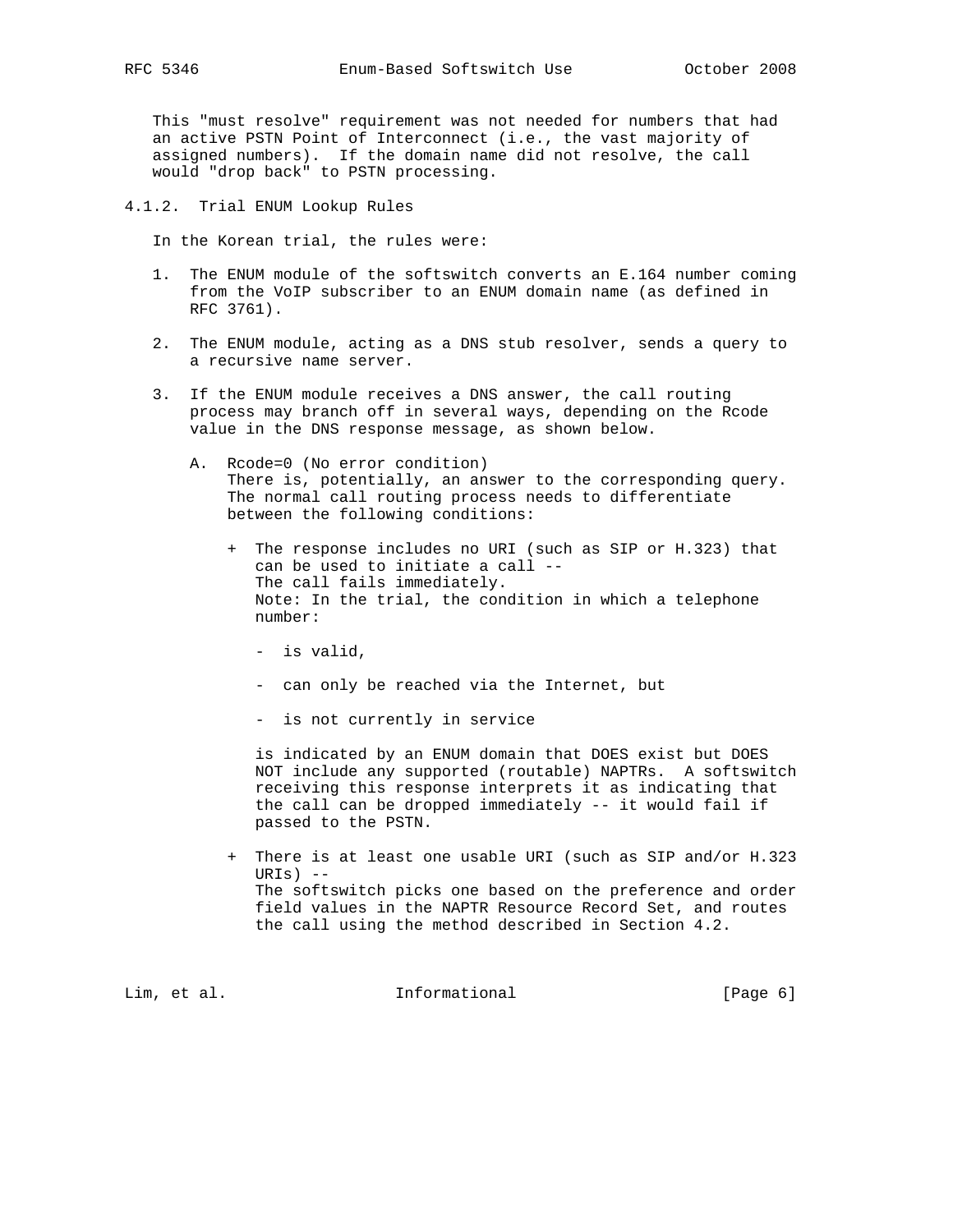This "must resolve" requirement was not needed for numbers that had an active PSTN Point of Interconnect (i.e., the vast majority of

 assigned numbers). If the domain name did not resolve, the call would "drop back" to PSTN processing.

4.1.2. Trial ENUM Lookup Rules

In the Korean trial, the rules were:

- 1. The ENUM module of the softswitch converts an E.164 number coming from the VoIP subscriber to an ENUM domain name (as defined in RFC 3761).
- 2. The ENUM module, acting as a DNS stub resolver, sends a query to a recursive name server.
- 3. If the ENUM module receives a DNS answer, the call routing process may branch off in several ways, depending on the Rcode value in the DNS response message, as shown below.
	- A. Rcode=0 (No error condition) There is, potentially, an answer to the corresponding query. The normal call routing process needs to differentiate between the following conditions:
		- + The response includes no URI (such as SIP or H.323) that can be used to initiate a call -- The call fails immediately. Note: In the trial, the condition in which a telephone number:
			- is valid,
			- can only be reached via the Internet, but
			- is not currently in service

 is indicated by an ENUM domain that DOES exist but DOES NOT include any supported (routable) NAPTRs. A softswitch receiving this response interprets it as indicating that the call can be dropped immediately -- it would fail if passed to the PSTN.

 + There is at least one usable URI (such as SIP and/or H.323 URIs) -- The softswitch picks one based on the preference and order field values in the NAPTR Resource Record Set, and routes the call using the method described in Section 4.2.

Lim, et al.  $\qquad \qquad$  Informational  $\qquad \qquad$  [Page 6]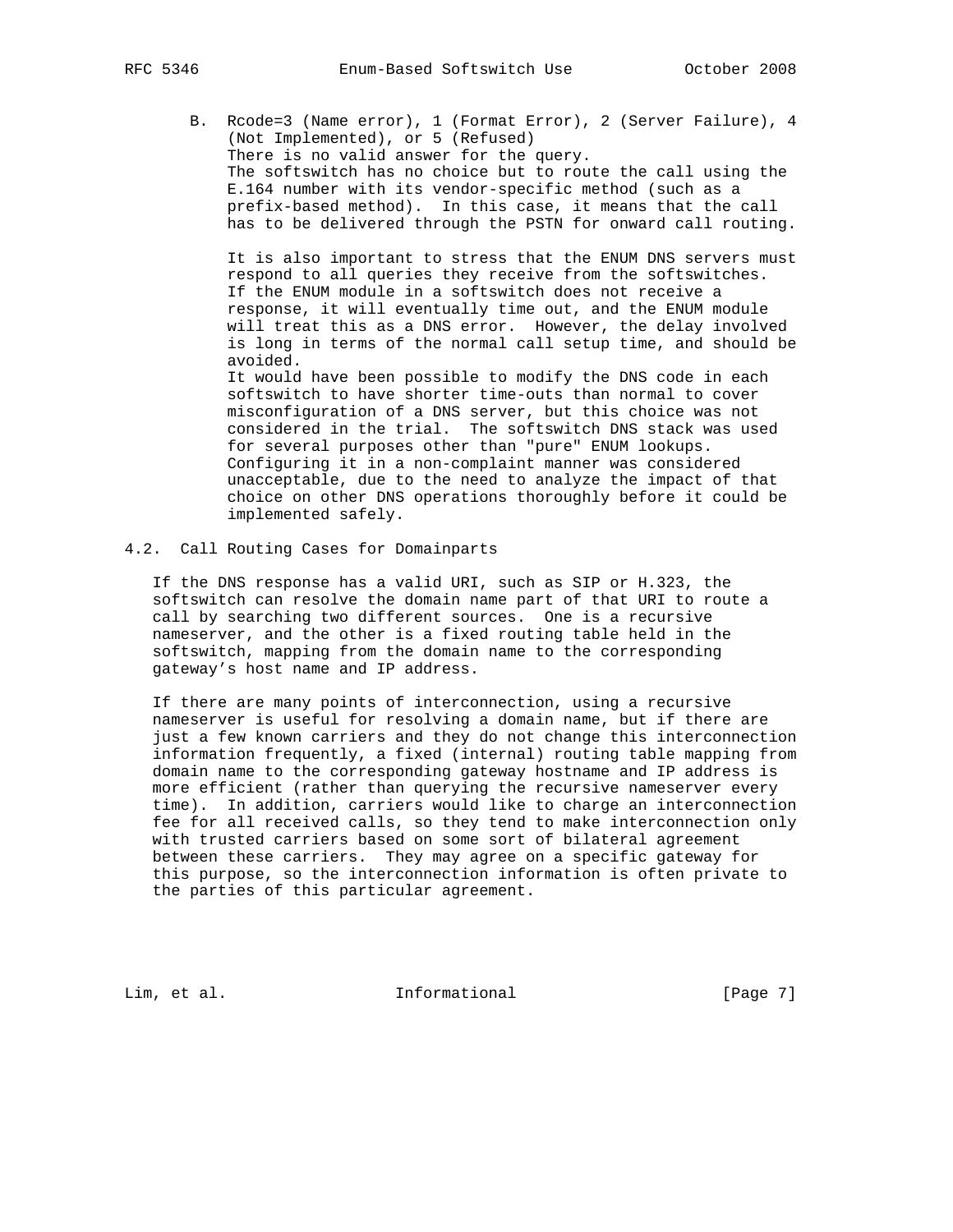B. Rcode=3 (Name error), 1 (Format Error), 2 (Server Failure), 4 (Not Implemented), or 5 (Refused) There is no valid answer for the query. The softswitch has no choice but to route the call using the E.164 number with its vendor-specific method (such as a prefix-based method). In this case, it means that the call has to be delivered through the PSTN for onward call routing.

 It is also important to stress that the ENUM DNS servers must respond to all queries they receive from the softswitches. If the ENUM module in a softswitch does not receive a response, it will eventually time out, and the ENUM module will treat this as a DNS error. However, the delay involved is long in terms of the normal call setup time, and should be avoided.

 It would have been possible to modify the DNS code in each softswitch to have shorter time-outs than normal to cover misconfiguration of a DNS server, but this choice was not considered in the trial. The softswitch DNS stack was used for several purposes other than "pure" ENUM lookups. Configuring it in a non-complaint manner was considered unacceptable, due to the need to analyze the impact of that choice on other DNS operations thoroughly before it could be implemented safely.

4.2. Call Routing Cases for Domainparts

 If the DNS response has a valid URI, such as SIP or H.323, the softswitch can resolve the domain name part of that URI to route a call by searching two different sources. One is a recursive nameserver, and the other is a fixed routing table held in the softswitch, mapping from the domain name to the corresponding gateway's host name and IP address.

 If there are many points of interconnection, using a recursive nameserver is useful for resolving a domain name, but if there are just a few known carriers and they do not change this interconnection information frequently, a fixed (internal) routing table mapping from domain name to the corresponding gateway hostname and IP address is more efficient (rather than querying the recursive nameserver every time). In addition, carriers would like to charge an interconnection fee for all received calls, so they tend to make interconnection only with trusted carriers based on some sort of bilateral agreement between these carriers. They may agree on a specific gateway for this purpose, so the interconnection information is often private to the parties of this particular agreement.

Lim, et al. 10. Informational 1. [Page 7]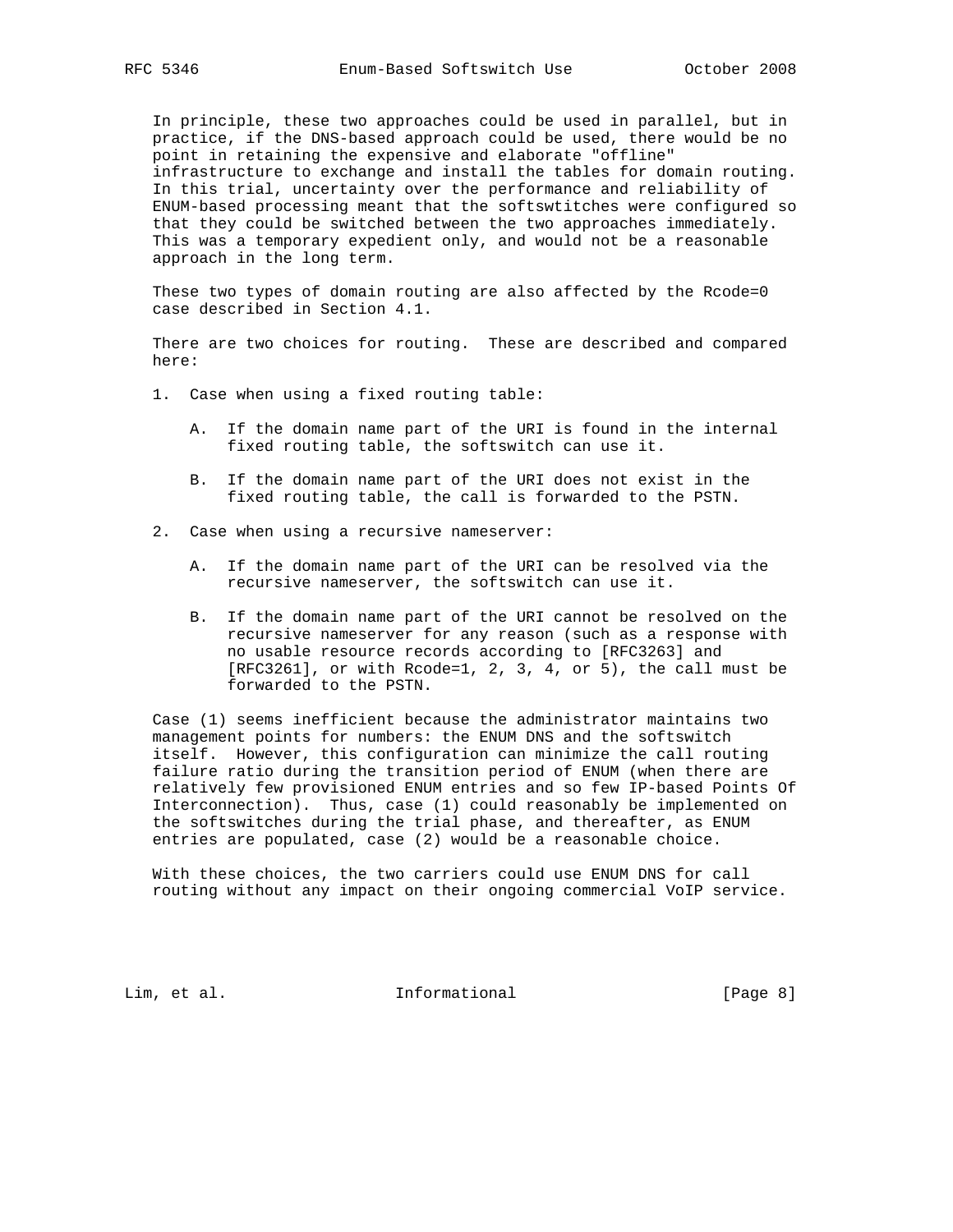In principle, these two approaches could be used in parallel, but in practice, if the DNS-based approach could be used, there would be no point in retaining the expensive and elaborate "offline" infrastructure to exchange and install the tables for domain routing. In this trial, uncertainty over the performance and reliability of ENUM-based processing meant that the softswtitches were configured so that they could be switched between the two approaches immediately. This was a temporary expedient only, and would not be a reasonable approach in the long term.

 These two types of domain routing are also affected by the Rcode=0 case described in Section 4.1.

 There are two choices for routing. These are described and compared here:

- 1. Case when using a fixed routing table:
	- A. If the domain name part of the URI is found in the internal fixed routing table, the softswitch can use it.
	- B. If the domain name part of the URI does not exist in the fixed routing table, the call is forwarded to the PSTN.
- 2. Case when using a recursive nameserver:
	- A. If the domain name part of the URI can be resolved via the recursive nameserver, the softswitch can use it.
	- B. If the domain name part of the URI cannot be resolved on the recursive nameserver for any reason (such as a response with no usable resource records according to [RFC3263] and [RFC3261], or with Rcode=1, 2, 3, 4, or 5), the call must be forwarded to the PSTN.

 Case (1) seems inefficient because the administrator maintains two management points for numbers: the ENUM DNS and the softswitch itself. However, this configuration can minimize the call routing failure ratio during the transition period of ENUM (when there are relatively few provisioned ENUM entries and so few IP-based Points Of Interconnection). Thus, case (1) could reasonably be implemented on the softswitches during the trial phase, and thereafter, as ENUM entries are populated, case (2) would be a reasonable choice.

 With these choices, the two carriers could use ENUM DNS for call routing without any impact on their ongoing commercial VoIP service.

Lim, et al. 10. Informational 1. [Page 8]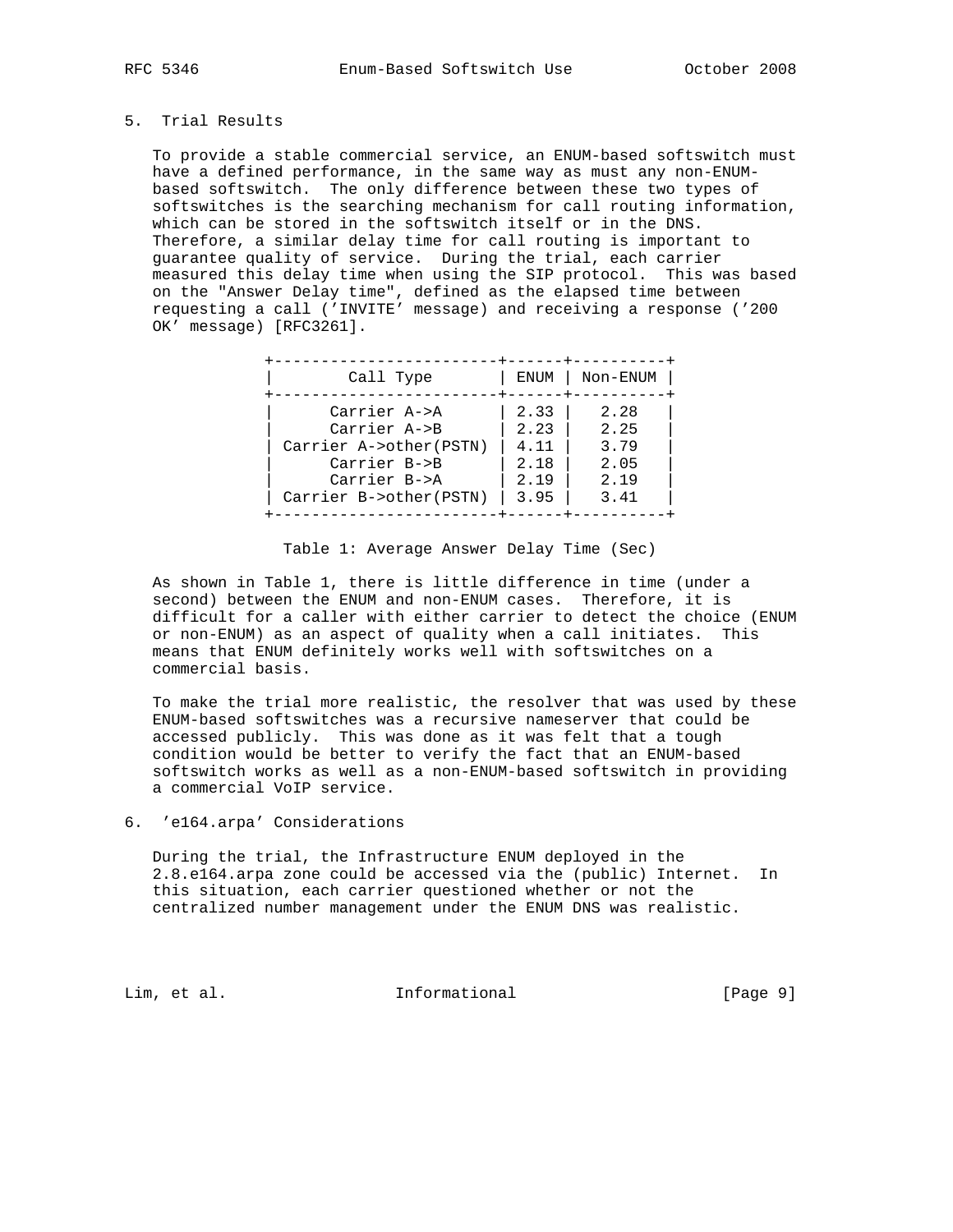## 5. Trial Results

 To provide a stable commercial service, an ENUM-based softswitch must have a defined performance, in the same way as must any non-ENUM based softswitch. The only difference between these two types of softswitches is the searching mechanism for call routing information, which can be stored in the softswitch itself or in the DNS. Therefore, a similar delay time for call routing is important to guarantee quality of service. During the trial, each carrier measured this delay time when using the SIP protocol. This was based on the "Answer Delay time", defined as the elapsed time between requesting a call ('INVITE' message) and receiving a response ('200 OK' message) [RFC3261].

| Call Type              | ENUM | Non-ENUM |
|------------------------|------|----------|
| Carrier A->A           | 2.33 | 2.28     |
| Carrier A->B           | 2.23 | 2.25     |
| Carrier A->other(PSTN) | 4.11 | 3.79     |
| Carrier B->B           | 2.18 | 2.05     |
| Carrier B->A           | 2.19 | 2.19     |
| Carrier B->other(PSTN) | 3.95 | 3.41     |

Table 1: Average Answer Delay Time (Sec)

 As shown in Table 1, there is little difference in time (under a second) between the ENUM and non-ENUM cases. Therefore, it is difficult for a caller with either carrier to detect the choice (ENUM or non-ENUM) as an aspect of quality when a call initiates. This means that ENUM definitely works well with softswitches on a commercial basis.

 To make the trial more realistic, the resolver that was used by these ENUM-based softswitches was a recursive nameserver that could be accessed publicly. This was done as it was felt that a tough condition would be better to verify the fact that an ENUM-based softswitch works as well as a non-ENUM-based softswitch in providing a commercial VoIP service.

6. 'e164.arpa' Considerations

 During the trial, the Infrastructure ENUM deployed in the 2.8.e164.arpa zone could be accessed via the (public) Internet. In this situation, each carrier questioned whether or not the centralized number management under the ENUM DNS was realistic.

Lim, et al.  $\qquad \qquad$  Informational  $[Page 9]$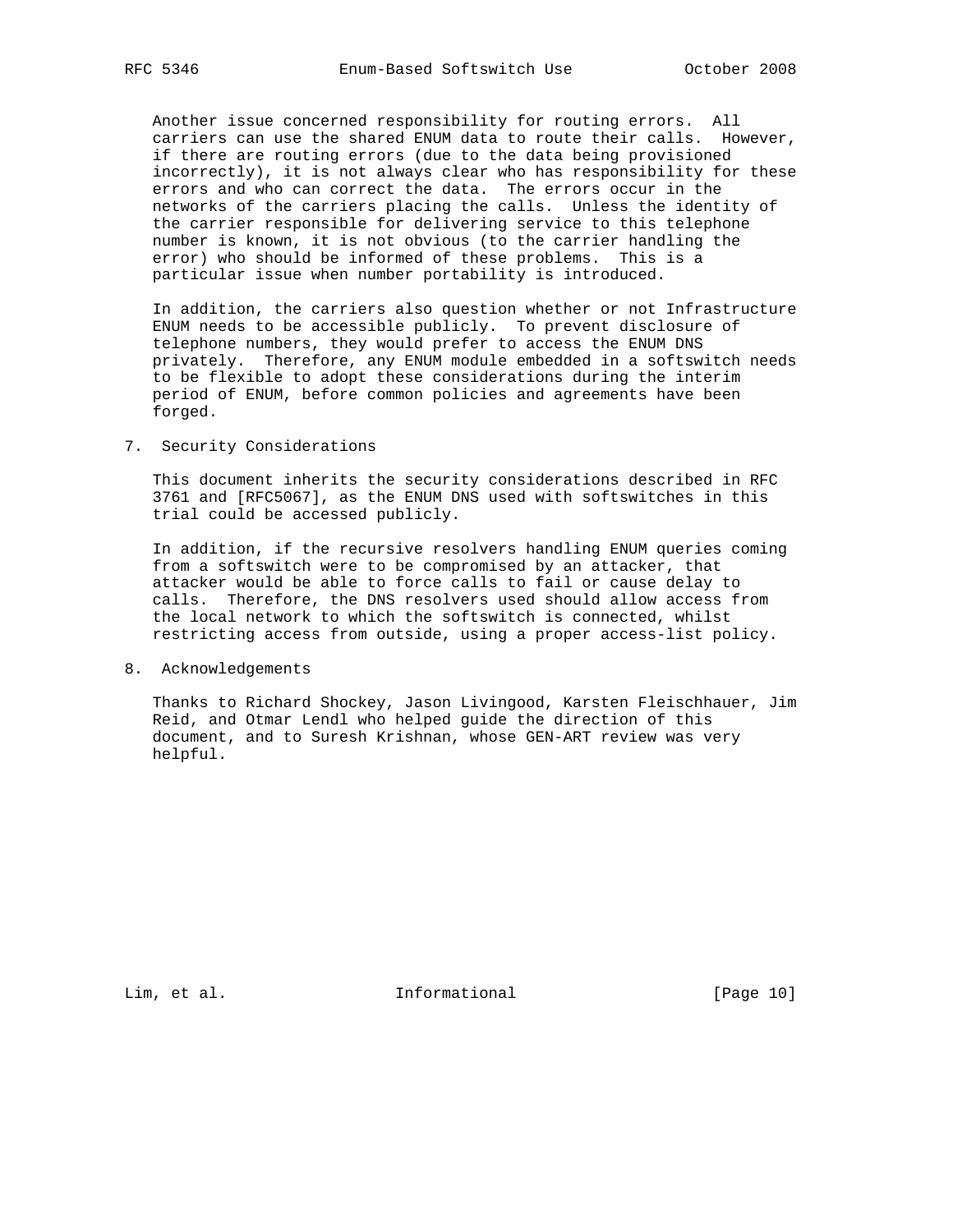Another issue concerned responsibility for routing errors. All carriers can use the shared ENUM data to route their calls. However, if there are routing errors (due to the data being provisioned incorrectly), it is not always clear who has responsibility for these errors and who can correct the data. The errors occur in the networks of the carriers placing the calls. Unless the identity of the carrier responsible for delivering service to this telephone number is known, it is not obvious (to the carrier handling the error) who should be informed of these problems. This is a particular issue when number portability is introduced.

 In addition, the carriers also question whether or not Infrastructure ENUM needs to be accessible publicly. To prevent disclosure of telephone numbers, they would prefer to access the ENUM DNS privately. Therefore, any ENUM module embedded in a softswitch needs to be flexible to adopt these considerations during the interim period of ENUM, before common policies and agreements have been forged.

7. Security Considerations

 This document inherits the security considerations described in RFC 3761 and [RFC5067], as the ENUM DNS used with softswitches in this trial could be accessed publicly.

 In addition, if the recursive resolvers handling ENUM queries coming from a softswitch were to be compromised by an attacker, that attacker would be able to force calls to fail or cause delay to calls. Therefore, the DNS resolvers used should allow access from the local network to which the softswitch is connected, whilst restricting access from outside, using a proper access-list policy.

8. Acknowledgements

 Thanks to Richard Shockey, Jason Livingood, Karsten Fleischhauer, Jim Reid, and Otmar Lendl who helped guide the direction of this document, and to Suresh Krishnan, whose GEN-ART review was very helpful.

Lim, et al. 10. Informational 1. [Page 10]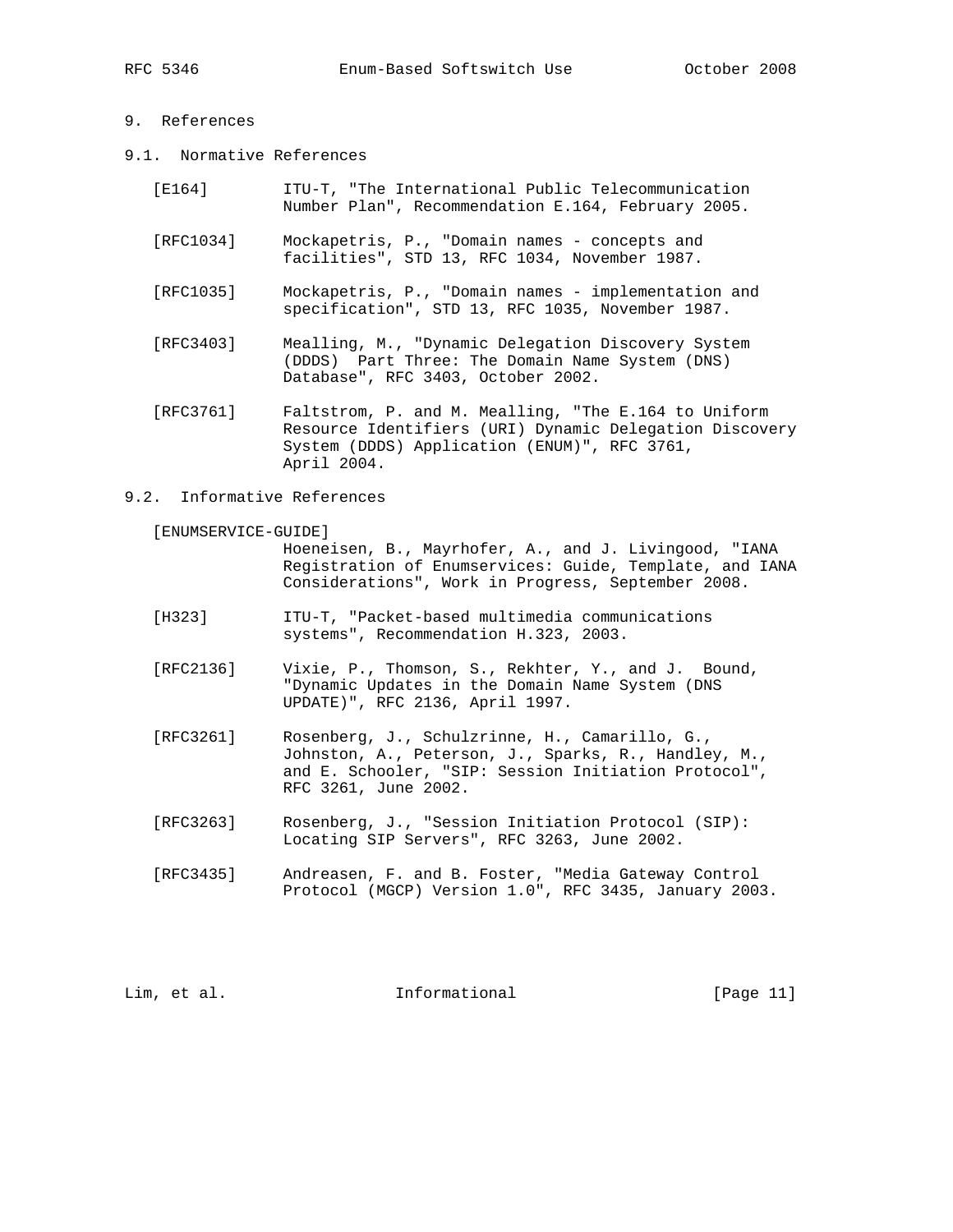## 9. References

- 9.1. Normative References
	- [E164] ITU-T, "The International Public Telecommunication Number Plan", Recommendation E.164, February 2005.
	- [RFC1034] Mockapetris, P., "Domain names concepts and facilities", STD 13, RFC 1034, November 1987.
	- [RFC1035] Mockapetris, P., "Domain names implementation and specification", STD 13, RFC 1035, November 1987.
	- [RFC3403] Mealling, M., "Dynamic Delegation Discovery System (DDDS) Part Three: The Domain Name System (DNS) Database", RFC 3403, October 2002.
	- [RFC3761] Faltstrom, P. and M. Mealling, "The E.164 to Uniform Resource Identifiers (URI) Dynamic Delegation Discovery System (DDDS) Application (ENUM)", RFC 3761, April 2004.

#### 9.2. Informative References

[ENUMSERVICE-GUIDE]

 Hoeneisen, B., Mayrhofer, A., and J. Livingood, "IANA Registration of Enumservices: Guide, Template, and IANA Considerations", Work in Progress, September 2008.

- [H323] ITU-T, "Packet-based multimedia communications systems", Recommendation H.323, 2003.
- [RFC2136] Vixie, P., Thomson, S., Rekhter, Y., and J. Bound, "Dynamic Updates in the Domain Name System (DNS UPDATE)", RFC 2136, April 1997.
- [RFC3261] Rosenberg, J., Schulzrinne, H., Camarillo, G., Johnston, A., Peterson, J., Sparks, R., Handley, M., and E. Schooler, "SIP: Session Initiation Protocol", RFC 3261, June 2002.
- [RFC3263] Rosenberg, J., "Session Initiation Protocol (SIP): Locating SIP Servers", RFC 3263, June 2002.
- [RFC3435] Andreasen, F. and B. Foster, "Media Gateway Control Protocol (MGCP) Version 1.0", RFC 3435, January 2003.

Lim, et al. Informational [Page 11]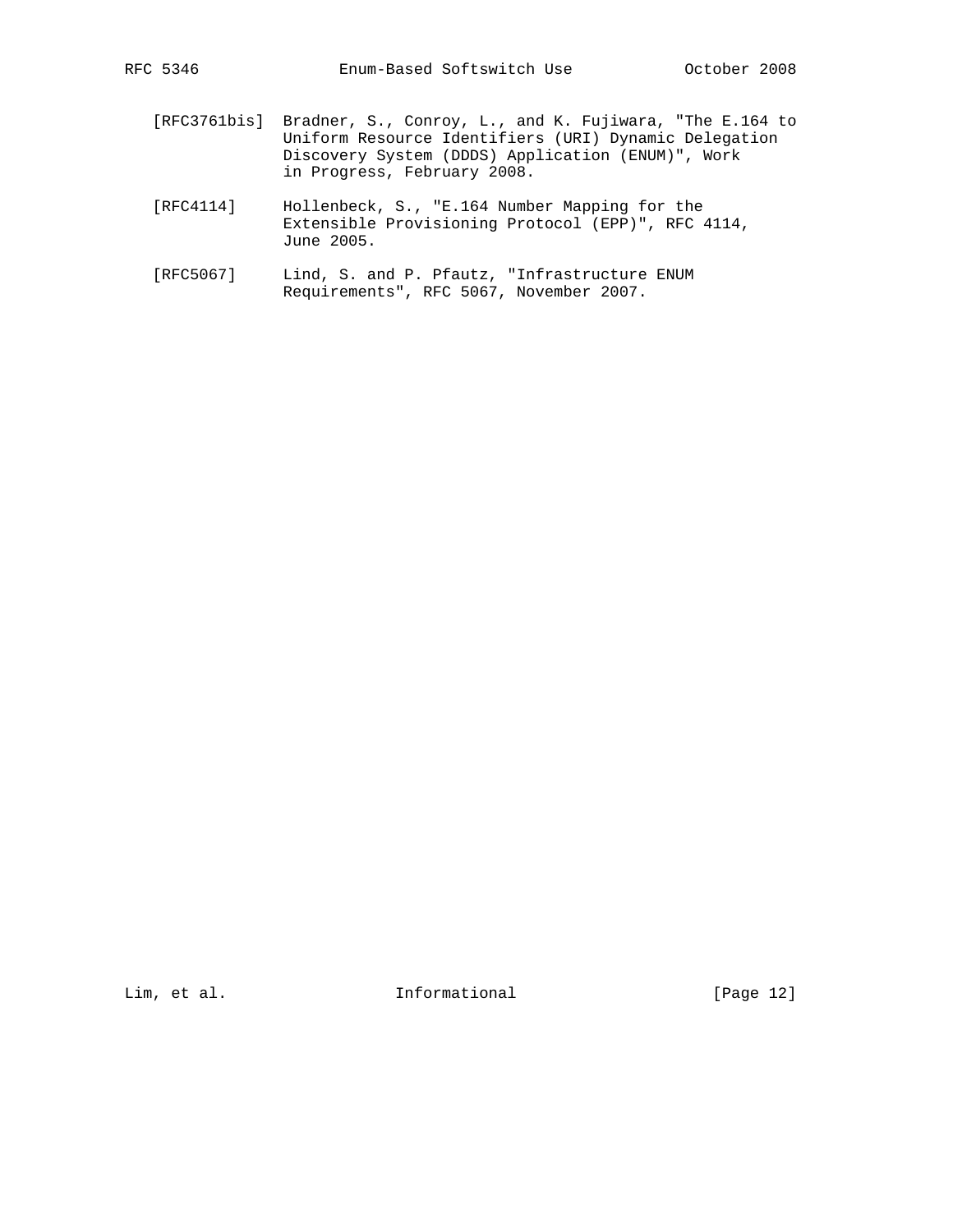- [RFC3761bis] Bradner, S., Conroy, L., and K. Fujiwara, "The E.164 to Uniform Resource Identifiers (URI) Dynamic Delegation Discovery System (DDDS) Application (ENUM)", Work in Progress, February 2008.
- [RFC4114] Hollenbeck, S., "E.164 Number Mapping for the Extensible Provisioning Protocol (EPP)", RFC 4114, June 2005.
- [RFC5067] Lind, S. and P. Pfautz, "Infrastructure ENUM Requirements", RFC 5067, November 2007.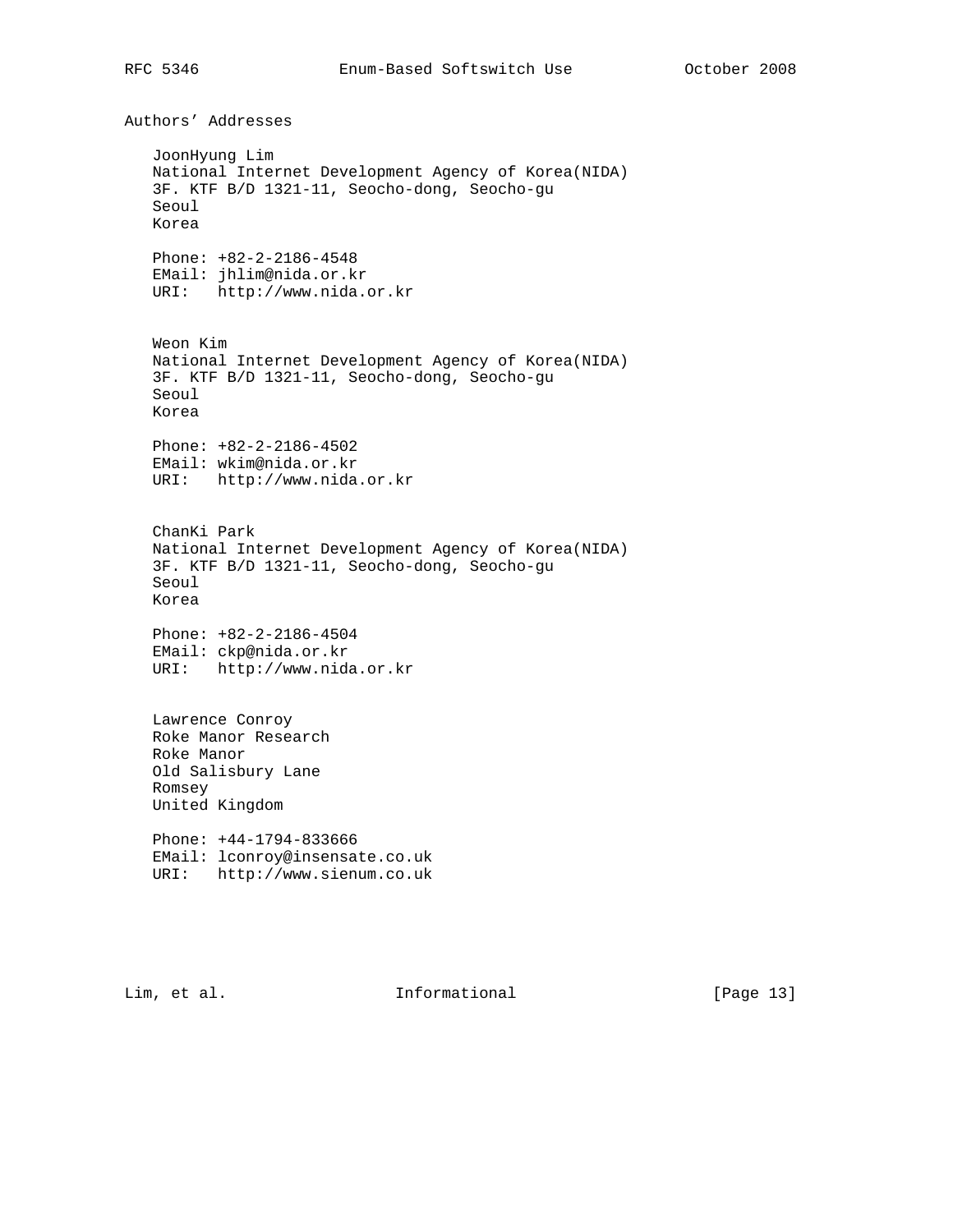Authors' Addresses JoonHyung Lim National Internet Development Agency of Korea(NIDA) 3F. KTF B/D 1321-11, Seocho-dong, Seocho-gu Seoul Korea Phone: +82-2-2186-4548 EMail: jhlim@nida.or.kr URI: http://www.nida.or.kr Weon Kim National Internet Development Agency of Korea(NIDA) 3F. KTF B/D 1321-11, Seocho-dong, Seocho-gu Seoul Korea Phone: +82-2-2186-4502 EMail: wkim@nida.or.kr URI: http://www.nida.or.kr ChanKi Park National Internet Development Agency of Korea(NIDA) 3F. KTF B/D 1321-11, Seocho-dong, Seocho-gu Seoul Korea Phone: +82-2-2186-4504 EMail: ckp@nida.or.kr URI: http://www.nida.or.kr Lawrence Conroy Roke Manor Research Roke Manor Old Salisbury Lane Romsey United Kingdom Phone: +44-1794-833666 EMail: lconroy@insensate.co.uk URI: http://www.sienum.co.uk

Lim, et al. 10. Informational 1. [Page 13]